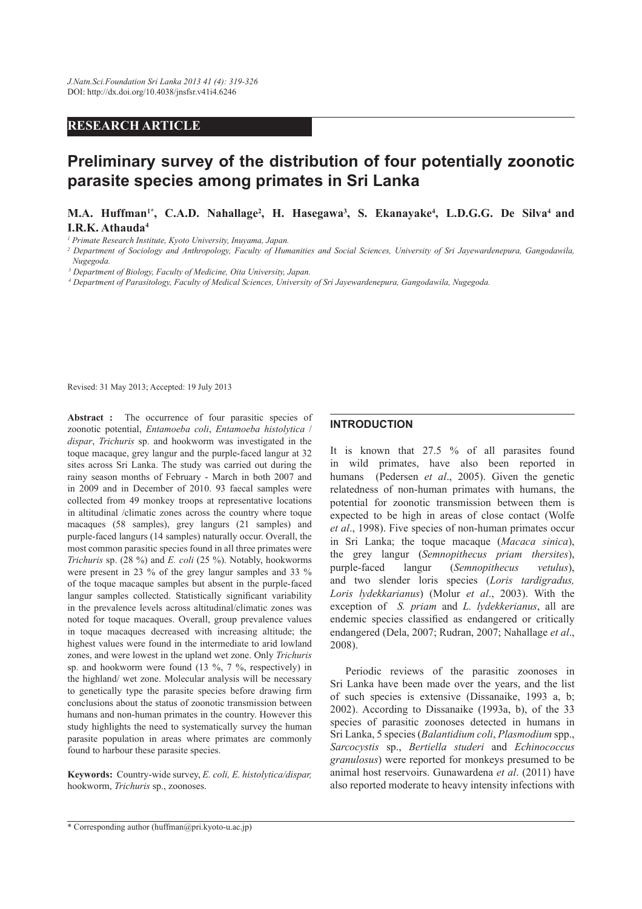# **RESEARCH ARTICLE**

# **Preliminary survey of the distribution of four potentially zoonotic parasite species among primates in Sri Lanka**

## **M.A. Huffman1\*, C.A.D. Nahallage<sup>2</sup> , H. Hasegawa<sup>3</sup> , S. Ekanayake<sup>4</sup> , L.D.G.G. De Silva<sup>4</sup>and I.R.K. Athauda<sup>4</sup>**

*1 Primate Research Institute, Kyoto University, Inuyama, Japan.* 

*2 Department of Sociology and Anthropology, Faculty of Humanities and Social Sciences, University of Sri Jayewardenepura, Gangodawila, Nugegoda.*

*3 Department of Biology, Faculty of Medicine, Oita University, Japan.*

*4 Department of Parasitology, Faculty of Medical Sciences, University of Sri Jayewardenepura, Gangodawila, Nugegoda.*

Revised: 31 May 2013; Accepted: 19 July 2013

**Abstract :** The occurrence of four parasitic species of zoonotic potential, *Entamoeba coli*, *Entamoeba histolytica* / *dispar*, *Trichuris* sp. and hookworm was investigated in the toque macaque, grey langur and the purple-faced langur at 32 sites across Sri Lanka. The study was carried out during the rainy season months of February - March in both 2007 and in 2009 and in December of 2010. 93 faecal samples were collected from 49 monkey troops at representative locations in altitudinal /climatic zones across the country where toque macaques (58 samples), grey langurs (21 samples) and purple-faced langurs (14 samples) naturally occur. Overall, the most common parasitic species found in all three primates were *Trichuris* sp. (28 %) and *E. coli* (25 %). Notably, hookworms were present in 23 % of the grey langur samples and 33 % of the toque macaque samples but absent in the purple-faced langur samples collected. Statistically significant variability in the prevalence levels across altitudinal/climatic zones was noted for toque macaques. Overall, group prevalence values in toque macaques decreased with increasing altitude; the highest values were found in the intermediate to arid lowland zones, and were lowest in the upland wet zone. Only *Trichuris* sp. and hookworm were found (13 %, 7 %, respectively) in the highland/ wet zone. Molecular analysis will be necessary to genetically type the parasite species before drawing firm conclusions about the status of zoonotic transmission between humans and non-human primates in the country. However this study highlights the need to systematically survey the human parasite population in areas where primates are commonly found to harbour these parasite species.

**Keywords:** Country-wide survey, *E. coli, E. histolytica/dispar,*  hookworm, *Trichuris* sp., zoonoses.

### **INTRODUCTION**

It is known that 27.5 % of all parasites found in wild primates, have also been reported in humans (Pedersen *et al*., 2005). Given the genetic relatedness of non-human primates with humans, the potential for zoonotic transmission between them is expected to be high in areas of close contact (Wolfe *et al*., 1998). Five species of non-human primates occur in Sri Lanka; the toque macaque (*Macaca sinica*), the grey langur (*Semnopithecus priam thersites*), purple-faced langur (*Semnopithecus vetulus*), and two slender loris species (*Loris tardigradus, Loris lydekkarianus*) (Molur *et al*., 2003). With the exception of *S. priam* and *L. lydekkerianus*, all are endemic species classified as endangered or critically endangered (Dela, 2007; Rudran, 2007; Nahallage *et al*., 2008).

 Periodic reviews of the parasitic zoonoses in Sri Lanka have been made over the years, and the list of such species is extensive (Dissanaike, 1993 a, b; 2002). According to Dissanaike (1993a, b), of the 33 species of parasitic zoonoses detected in humans in Sri Lanka, 5 species (*Balantidium coli*, *Plasmodium* spp., *Sarcocystis* sp., *Bertiella studeri* and *Echinococcus granulosus*) were reported for monkeys presumed to be animal host reservoirs. Gunawardena *et al*. (2011) have also reported moderate to heavy intensity infections with

<sup>\*</sup> Corresponding author (huffman@pri.kyoto-u.ac.jp)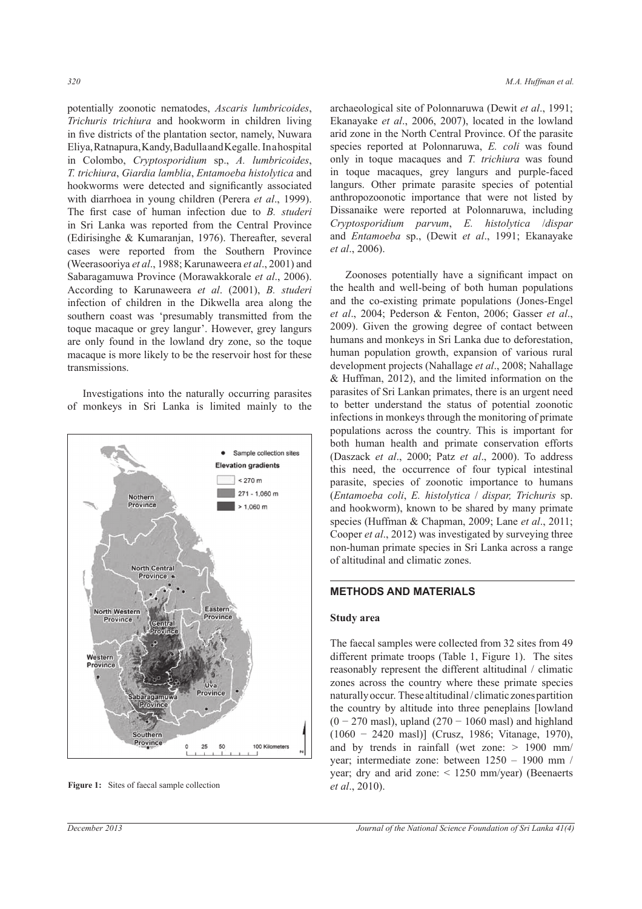potentially zoonotic nematodes, *Ascaris lumbricoides*, *Trichuris trichiura* and hookworm in children living in five districts of the plantation sector, namely, Nuwara Eliya, Ratnapura, Kandy, Badulla and Kegalle. In a hospital in Colombo, *Cryptosporidium* sp., *A. lumbricoides*, *T. trichiura*, *Giardia lamblia*, *Entamoeba histolytica* and hookworms were detected and significantly associated with diarrhoea in young children (Perera *et al*., 1999). The first case of human infection due to *B. studeri* in Sri Lanka was reported from the Central Province (Edirisinghe & Kumaranjan, 1976). Thereafter, several cases were reported from the Southern Province (Weerasooriya *et al*., 1988; Karunaweera *et al*., 2001) and Sabaragamuwa Province (Morawakkorale *et al*., 2006). According to Karunaweera *et al*. (2001), *B. studeri*  infection of children in the Dikwella area along the southern coast was 'presumably transmitted from the toque macaque or grey langur'. However, grey langurs are only found in the lowland dry zone, so the toque macaque is more likely to be the reservoir host for these transmissions.

 Investigations into the naturally occurring parasites of monkeys in Sri Lanka is limited mainly to the



**Figure 1:** Sites of faecal sample collection *et al.*, 2010).

archaeological site of Polonnaruwa (Dewit *et al*., 1991; Ekanayake *et al*., 2006, 2007), located in the lowland arid zone in the North Central Province. Of the parasite species reported at Polonnaruwa, *E. coli* was found only in toque macaques and *T. trichiura* was found in toque macaques, grey langurs and purple-faced langurs. Other primate parasite species of potential anthropozoonotic importance that were not listed by Dissanaike were reported at Polonnaruwa, including *Cryptosporidium parvum*, *E. histolytica* /*dispar* and *Entamoeba* sp., (Dewit *et al*., 1991; Ekanayake *et al*., 2006).

 Zoonoses potentially have a significant impact on the health and well-being of both human populations and the co-existing primate populations (Jones-Engel *et al*., 2004; Pederson & Fenton, 2006; Gasser *et al*., 2009). Given the growing degree of contact between humans and monkeys in Sri Lanka due to deforestation, human population growth, expansion of various rural development projects (Nahallage *et al*., 2008; Nahallage & Huffman, 2012), and the limited information on the parasites of Sri Lankan primates, there is an urgent need to better understand the status of potential zoonotic infections in monkeys through the monitoring of primate populations across the country. This is important for both human health and primate conservation efforts (Daszack *et al*., 2000; Patz *et al*., 2000). To address this need, the occurrence of four typical intestinal parasite, species of zoonotic importance to humans (*Entamoeba coli*, *E. histolytica* / *dispar, Trichuris* sp. and hookworm), known to be shared by many primate species (Huffman & Chapman, 2009; Lane *et al*., 2011; Cooper *et al*., 2012) was investigated by surveying three non-human primate species in Sri Lanka across a range of altitudinal and climatic zones.

### **METHODS AND MATERIALS**

#### **Study area**

The faecal samples were collected from 32 sites from 49 different primate troops (Table 1, Figure 1). The sites reasonably represent the different altitudinal / climatic zones across the country where these primate species naturally occur. These altitudinal / climatic zones partition the country by altitude into three peneplains [lowland  $(0 - 270$  masl), upland  $(270 - 1060$  masl) and highland (1060 − 2420 masl)] (Crusz, 1986; Vitanage, 1970), and by trends in rainfall (wet zone: > 1900 mm/ year; intermediate zone: between 1250 – 1900 mm / year; dry and arid zone: < 1250 mm/year) (Beenaerts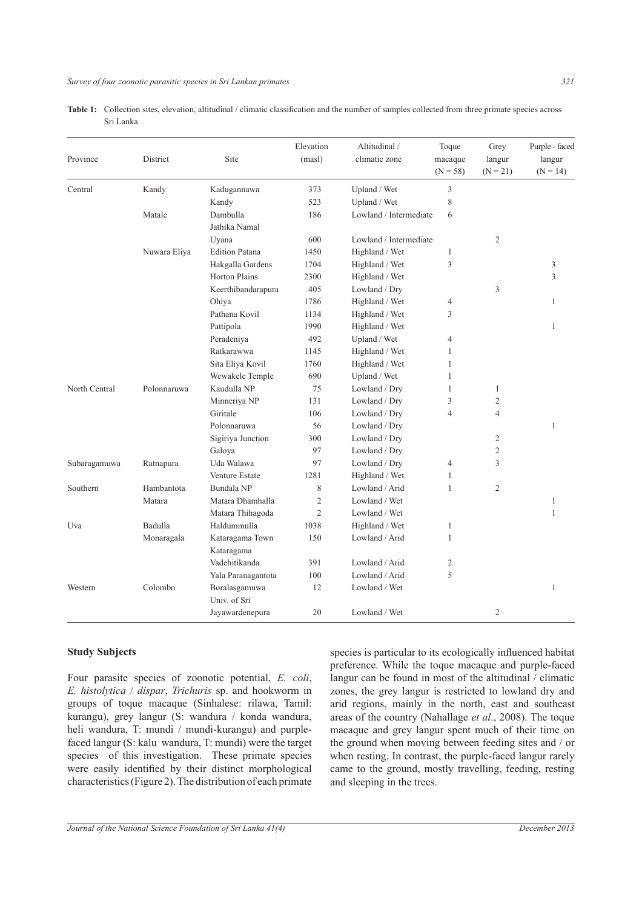| <b>Table 1:</b> Collection sites, elevation, altitudinal / climatic classification and the number of samples collected from three primate species across |  |  |  |  |  |
|----------------------------------------------------------------------------------------------------------------------------------------------------------|--|--|--|--|--|
| Sri Lanka-                                                                                                                                               |  |  |  |  |  |

| Province      | District     | Site                          | Elevation<br>(masl) | Altitudinal /<br>climatic zone                  | Toque<br>macaque<br>$(N = 58)$ | Grey<br>langur<br>$(N = 21)$ | Purple - faced<br>langur<br>$(N = 14)$ |
|---------------|--------------|-------------------------------|---------------------|-------------------------------------------------|--------------------------------|------------------------------|----------------------------------------|
| Central       | Kandy        | Kadugannawa                   | 373<br>Upland / Wet |                                                 | 3                              |                              |                                        |
|               |              | Kandy                         | 523                 | Upland / Wet                                    | 8                              |                              |                                        |
|               | Matale       | Dambulla                      | 186                 | Lowland / Intermediate                          | 6                              |                              |                                        |
|               |              | Jathika Namal                 |                     |                                                 |                                |                              |                                        |
|               |              | Uyana                         | 600                 | Lowland / Intermediate                          |                                | $\mathfrak{2}$               |                                        |
|               | Nuwara Eliya | <b>Edition Patana</b>         | 1450                | Highland / Wet                                  | $\mathbf{1}$                   |                              |                                        |
|               |              | Hakgalla Gardens              | 1704                | Highland / Wet                                  | 3                              |                              | 3                                      |
|               |              | <b>Horton Plains</b>          | 2300                | Highland / Wet                                  |                                |                              | 3                                      |
|               |              | Keerthibandarapura            | 405                 | Lowland / Dry                                   |                                | $\mathfrak{Z}$               |                                        |
|               |              | Ohiya                         | 1786                | Highland / Wet                                  | 4                              |                              | $\mathbf{1}$                           |
|               |              | Pathana Kovil                 | 1134                | Highland / Wet                                  | 3                              |                              |                                        |
|               |              | Pattipola                     | 1990                | Highland / Wet                                  |                                |                              | $\mathbf{1}$                           |
|               |              | Peradeniya                    | 492                 | Upland / Wet                                    | $\overline{4}$                 |                              |                                        |
|               |              | Ratkarawwa                    | 1145                | Highland / Wet                                  | 1                              |                              |                                        |
|               |              | Sita Eliya Kovil              | 1760                | Highland / Wet                                  | 1                              |                              |                                        |
|               |              | Wewakele Temple               | 690                 | Upland / Wet                                    | 1                              |                              |                                        |
| North Central | Polonnaruwa  | Kaudulla NP                   | 75                  | Lowland / Dry                                   | 1                              | $\mathbf{1}$                 |                                        |
|               |              | Minneriya NP                  | 131                 | Lowland / Dry                                   | 3                              | $\overline{2}$               |                                        |
|               |              | Giritale                      | 106                 | Lowland / Dry                                   | $\overline{4}$                 | $\overline{4}$               |                                        |
|               |              | Polonnaruwa                   | 56                  | Lowland / Dry                                   |                                |                              | $\mathbf{1}$                           |
|               |              | Sigiriya Junction             | 300                 | Lowland / Dry                                   |                                | $\overline{c}$               |                                        |
|               |              | Galoya                        | 97                  | $\operatorname{Lowland}$ / $\operatorname{Dry}$ |                                | $\mathfrak{2}$               |                                        |
| Subaragamuwa  | Ratnapura    | Uda Walawa                    | 97                  | Lowland / Dry                                   | $\overline{4}$                 | 3                            |                                        |
|               |              | Venture Estate                | 1281                | Highland / Wet                                  | $\mathbf{1}$                   |                              |                                        |
| Southern      | Hambantota   | Bundala NP                    | $\,$ 8 $\,$         | Lowland / Arid                                  | $\mathbf{1}$                   | $\mathfrak{2}$               |                                        |
|               | Matara       | Matara Dhamhalla              | $\overline{c}$      | Lowland / Wet                                   |                                |                              | $\mathbf{1}$                           |
|               |              | Matara Thihagoda              | $\overline{c}$      | Lowland / Wet                                   |                                |                              | $\mathbf{1}$                           |
| Uva           | Badulla      | Haldummulla                   | 1038                | Highland / Wet                                  | $\mathbf{1}$                   |                              |                                        |
|               | Monaragala   | Kataragama Town               | 150                 | Lowland / Arid                                  | $\mathbf{1}$                   |                              |                                        |
|               |              | Kataragama                    |                     |                                                 |                                |                              |                                        |
|               |              | Vadehitikanda                 | 391                 | Lowland / Arid                                  | $\sqrt{2}$                     |                              |                                        |
|               |              | Yala Paranagantota            | 100                 | Lowland / Arid                                  | 5                              |                              |                                        |
| Western       | Colombo      | Boralasgamuwa<br>Univ. of Sri | 12                  | Lowland / Wet                                   |                                |                              | $\mathbf{1}$                           |
|               |              | Jayawardenepura               | 20                  | Lowland / Wet                                   |                                | $\mathfrak{2}$               |                                        |

### **Study Subjects**

Four parasite species of zoonotic potential, *E. coli*, *E. histolytica* / *dispar*, *Trichuris* sp. and hookworm in groups of toque macaque (Sinhalese: rilawa, Tamil: kurangu), grey langur (S: wandura / konda wandura, heli wandura, T: mundi / mundi-kurangu) and purplefaced langur (S: kalu wandura, T: mundi) were the target species of this investigation. These primate species were easily identified by their distinct morphological characteristics (Figure 2). The distribution of each primate species is particular to its ecologically influenced habitat preference. While the toque macaque and purple-faced langur can be found in most of the altitudinal / climatic zones, the grey langur is restricted to lowland dry and arid regions, mainly in the north, east and southeast areas of the country (Nahallage *et al*., 2008). The toque macaque and grey langur spent much of their time on the ground when moving between feeding sites and / or when resting. In contrast, the purple-faced langur rarely came to the ground, mostly travelling, feeding, resting and sleeping in the trees.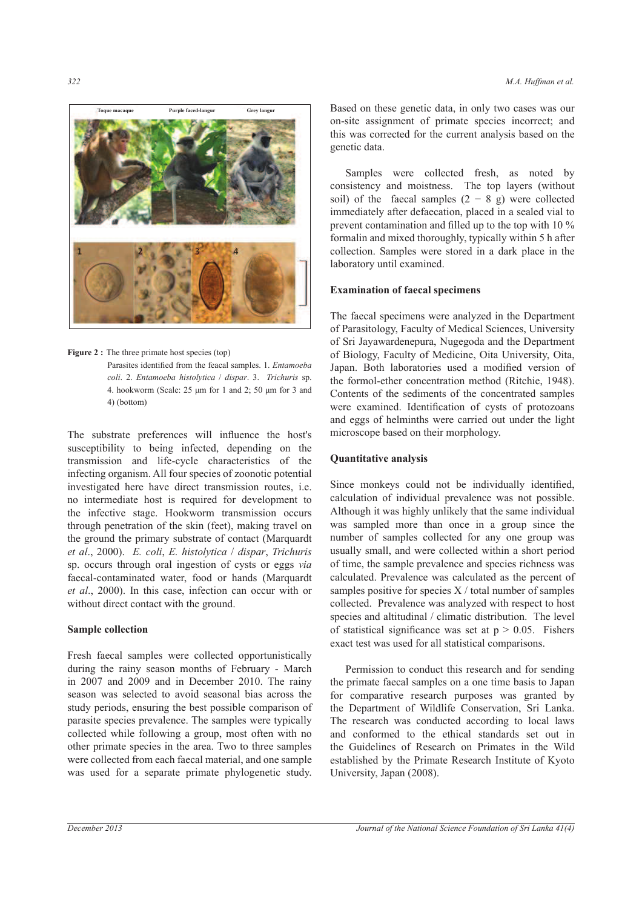

**Figure 2**: The three primate host species (top)

Parasites identified from the feacal samples. 1. *Entamoeba coli*. 2. *Entamoeba histolytica* / *dispar*. 3. *Trichuris* sp. 4. hookworm (Scale: 25 μm for 1 and 2; 50 μm for 3 and 4) (bottom)

The substrate preferences will influence the host's susceptibility to being infected, depending on the transmission and life-cycle characteristics of the infecting organism. All four species of zoonotic potential investigated here have direct transmission routes, i.e. no intermediate host is required for development to the infective stage. Hookworm transmission occurs through penetration of the skin (feet), making travel on the ground the primary substrate of contact (Marquardt *et al*., 2000). *E. coli*, *E. histolytica* / *dispar*, *Trichuris* sp. occurs through oral ingestion of cysts or eggs *via*  faecal-contaminated water, food or hands (Marquardt *et al*., 2000). In this case, infection can occur with or without direct contact with the ground.

### **Sample collection**

Fresh faecal samples were collected opportunistically during the rainy season months of February - March in 2007 and 2009 and in December 2010. The rainy season was selected to avoid seasonal bias across the study periods, ensuring the best possible comparison of parasite species prevalence. The samples were typically collected while following a group, most often with no other primate species in the area. Two to three samples were collected from each faecal material, and one sample was used for a separate primate phylogenetic study.

 Permission to conduct this research and for sending the primate faecal samples on a one time basis to Japan for comparative research purposes was granted by the Department of Wildlife Conservation, Sri Lanka. The research was conducted according to local laws and conformed to the ethical standards set out in the Guidelines of Research on Primates in the Wild established by the Primate Research Institute of Kyoto University, Japan (2008).

 Samples were collected fresh, as noted by consistency and moistness. The top layers (without soil) of the faecal samples  $(2 - 8)$  g) were collected immediately after defaecation, placed in a sealed vial to prevent contamination and filled up to the top with 10 % formalin and mixed thoroughly, typically within 5 h after collection. Samples were stored in a dark place in the laboratory until examined.

# **Examination of faecal specimens**

The faecal specimens were analyzed in the Department of Parasitology, Faculty of Medical Sciences, University of Sri Jayawardenepura, Nugegoda and the Department of Biology, Faculty of Medicine, Oita University, Oita, Japan. Both laboratories used a modified version of the formol-ether concentration method (Ritchie, 1948). Contents of the sediments of the concentrated samples were examined. Identification of cysts of protozoans and eggs of helminths were carried out under the light microscope based on their morphology.

### **Quantitative analysis**

Since monkeys could not be individually identified, calculation of individual prevalence was not possible. Although it was highly unlikely that the same individual was sampled more than once in a group since the number of samples collected for any one group was usually small, and were collected within a short period of time, the sample prevalence and species richness was calculated. Prevalence was calculated as the percent of samples positive for species  $X /$  total number of samples collected. Prevalence was analyzed with respect to host species and altitudinal / climatic distribution. The level of statistical significance was set at  $p > 0.05$ . Fishers exact test was used for all statistical comparisons.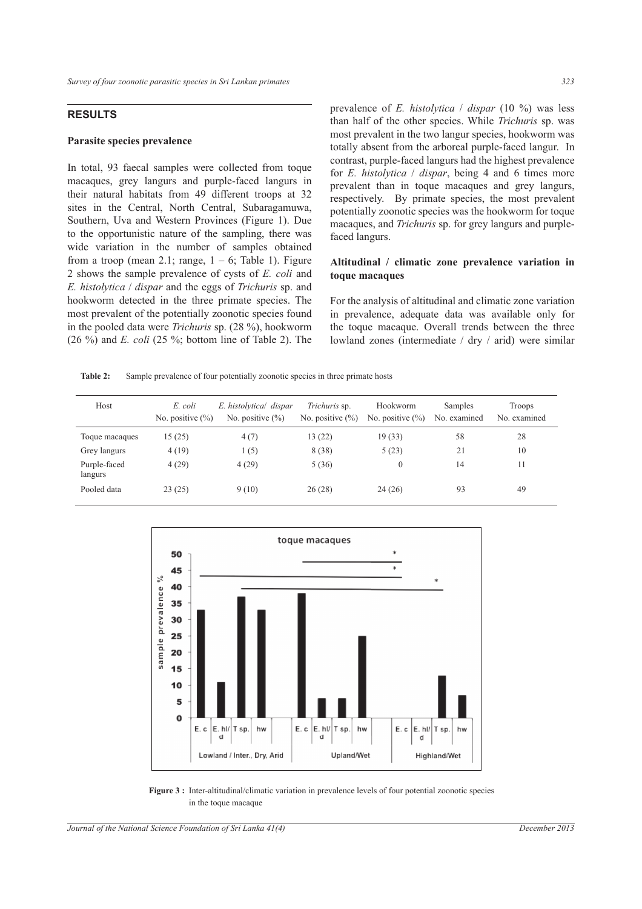### **RESULTS**

#### **Parasite species prevalence**

In total, 93 faecal samples were collected from toque macaques, grey langurs and purple-faced langurs in their natural habitats from 49 different troops at 32 sites in the Central, North Central, Subaragamuwa, Southern, Uva and Western Provinces (Figure 1). Due to the opportunistic nature of the sampling, there was wide variation in the number of samples obtained from a troop (mean 2.1; range,  $1 - 6$ ; Table 1). Figure 2 shows the sample prevalence of cysts of *E. coli* and *E. histolytica* / *dispar* and the eggs of *Trichuris* sp. and hookworm detected in the three primate species. The most prevalent of the potentially zoonotic species found in the pooled data were *Trichuris* sp. (28 %), hookworm (26 %) and *E. coli* (25 %; bottom line of Table 2). The prevalence of *E. histolytica* / *dispar* (10 %) was less than half of the other species. While *Trichuris* sp. was most prevalent in the two langur species, hookworm was totally absent from the arboreal purple-faced langur. In contrast, purple-faced langurs had the highest prevalence for *E. histolytica* / *dispar*, being 4 and 6 times more prevalent than in toque macaques and grey langurs, respectively. By primate species, the most prevalent potentially zoonotic species was the hookworm for toque macaques, and *Trichuris* sp. for grey langurs and purplefaced langurs.

### **Altitudinal / climatic zone prevalence variation in toque macaques**

For the analysis of altitudinal and climatic zone variation in prevalence, adequate data was available only for the toque macaque. Overall trends between the three lowland zones (intermediate / dry / arid) were similar

**Table 2:** Sample prevalence of four potentially zoonotic species in three primate hosts

| Host                    | E. coli<br>No. positive $(\% )$ | E. histolytica/ dispar<br>No. positive $(\% )$ | Trichuris sp.<br>No. positive $(\% )$ | Hookworm<br>No. positive $(\% )$ | Samples<br>No. examined | Troops<br>No. examined |
|-------------------------|---------------------------------|------------------------------------------------|---------------------------------------|----------------------------------|-------------------------|------------------------|
| Toque macaques          | 15 (25)                         | 4(7)                                           | 13(22)                                | 19(33)                           | 58                      | 28                     |
| Grey langurs            | 4(19)                           | 1(5)                                           | 8 (38)                                | 5(23)                            | 21                      | 10                     |
| Purple-faced<br>langurs | 4(29)                           | 4(29)                                          | 5(36)                                 | $\theta$                         | 14                      | 11                     |
| Pooled data             | 23(25)                          | 9(10)                                          | 26(28)                                | 24(26)                           | 93                      | 49                     |



Figure 3 : Inter-altitudinal/climatic variation in prevalence levels of four potential zoonotic species in the toque macaque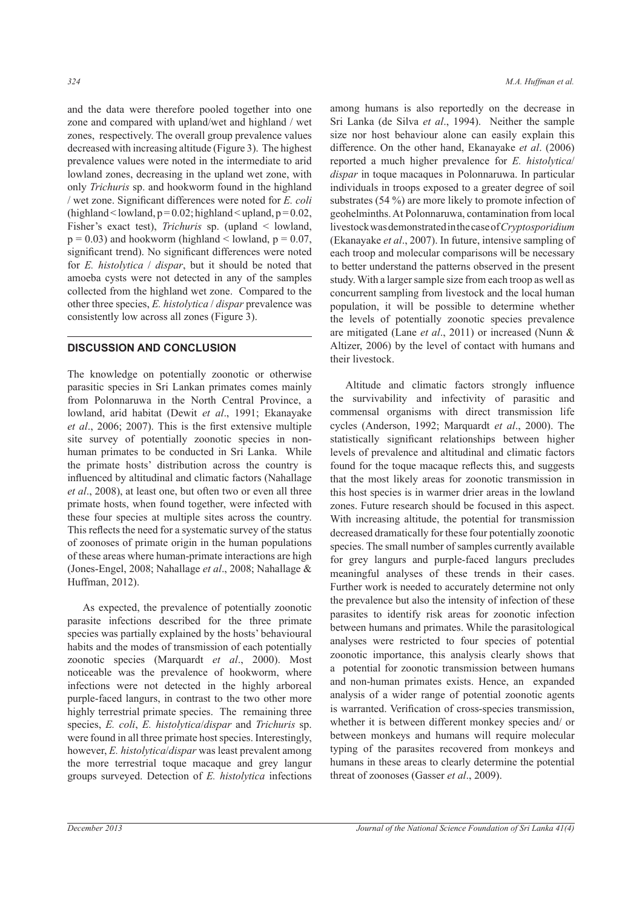and the data were therefore pooled together into one zone and compared with upland/wet and highland / wet zones, respectively. The overall group prevalence values decreased with increasing altitude (Figure 3). The highest prevalence values were noted in the intermediate to arid lowland zones, decreasing in the upland wet zone, with only *Trichuris* sp. and hookworm found in the highland / wet zone. Significant differences were noted for *E. coli* (highland  $\le$  lowland,  $p = 0.02$ ; highland  $\le$  upland,  $p = 0.02$ , Fisher's exact test), *Trichuris* sp. (upland < lowland,  $p = 0.03$ ) and hookworm (highland < lowland,  $p = 0.07$ , significant trend). No significant differences were noted for *E. histolytica* / *dispar*, but it should be noted that amoeba cysts were not detected in any of the samples collected from the highland wet zone. Compared to the other three species, *E. histolytica* / *dispar* prevalence was consistently low across all zones (Figure 3).

### **DISCUSSION AND CONCLUSION**

The knowledge on potentially zoonotic or otherwise parasitic species in Sri Lankan primates comes mainly from Polonnaruwa in the North Central Province, a lowland, arid habitat (Dewit *et al*., 1991; Ekanayake *et al*., 2006; 2007). This is the first extensive multiple site survey of potentially zoonotic species in nonhuman primates to be conducted in Sri Lanka. While the primate hosts' distribution across the country is influenced by altitudinal and climatic factors (Nahallage *et al*., 2008), at least one, but often two or even all three primate hosts, when found together, were infected with these four species at multiple sites across the country. This reflects the need for a systematic survey of the status of zoonoses of primate origin in the human populations of these areas where human-primate interactions are high (Jones-Engel, 2008; Nahallage *et al*., 2008; Nahallage & Huffman, 2012).

 As expected, the prevalence of potentially zoonotic parasite infections described for the three primate species was partially explained by the hosts' behavioural habits and the modes of transmission of each potentially zoonotic species (Marquardt *et al*., 2000). Most noticeable was the prevalence of hookworm, where infections were not detected in the highly arboreal purple-faced langurs, in contrast to the two other more highly terrestrial primate species. The remaining three species, *E. coli*, *E. histolytica*/*dispar* and *Trichuris* sp. were found in all three primate host species. Interestingly, however, *E. histolytica*/*dispar* was least prevalent among the more terrestrial toque macaque and grey langur groups surveyed. Detection of *E. histolytica* infections among humans is also reportedly on the decrease in Sri Lanka (de Silva *et al*., 1994). Neither the sample size nor host behaviour alone can easily explain this difference. On the other hand, Ekanayake *et al*. (2006) reported a much higher prevalence for *E. histolytica*/ *dispar* in toque macaques in Polonnaruwa. In particular individuals in troops exposed to a greater degree of soil substrates (54 %) are more likely to promote infection of geohelminths. At Polonnaruwa, contamination from local livestock was demonstrated in the case of *Cryptosporidium* (Ekanayake *et al*., 2007). In future, intensive sampling of each troop and molecular comparisons will be necessary to better understand the patterns observed in the present study. With a larger sample size from each troop as well as concurrent sampling from livestock and the local human population, it will be possible to determine whether the levels of potentially zoonotic species prevalence are mitigated (Lane *et al*., 2011) or increased (Nunn & Altizer, 2006) by the level of contact with humans and their livestock.

Altitude and climatic factors strongly influence the survivability and infectivity of parasitic and commensal organisms with direct transmission life cycles (Anderson, 1992; Marquardt *et al*., 2000). The statistically significant relationships between higher levels of prevalence and altitudinal and climatic factors found for the toque macaque reflects this, and suggests that the most likely areas for zoonotic transmission in this host species is in warmer drier areas in the lowland zones. Future research should be focused in this aspect. With increasing altitude, the potential for transmission decreased dramatically for these four potentially zoonotic species. The small number of samples currently available for grey langurs and purple-faced langurs precludes meaningful analyses of these trends in their cases. Further work is needed to accurately determine not only the prevalence but also the intensity of infection of these parasites to identify risk areas for zoonotic infection between humans and primates. While the parasitological analyses were restricted to four species of potential zoonotic importance, this analysis clearly shows that a potential for zoonotic transmission between humans and non-human primates exists. Hence, an expanded analysis of a wider range of potential zoonotic agents is warranted. Verification of cross-species transmission, whether it is between different monkey species and/ or between monkeys and humans will require molecular typing of the parasites recovered from monkeys and humans in these areas to clearly determine the potential threat of zoonoses (Gasser *et al*., 2009).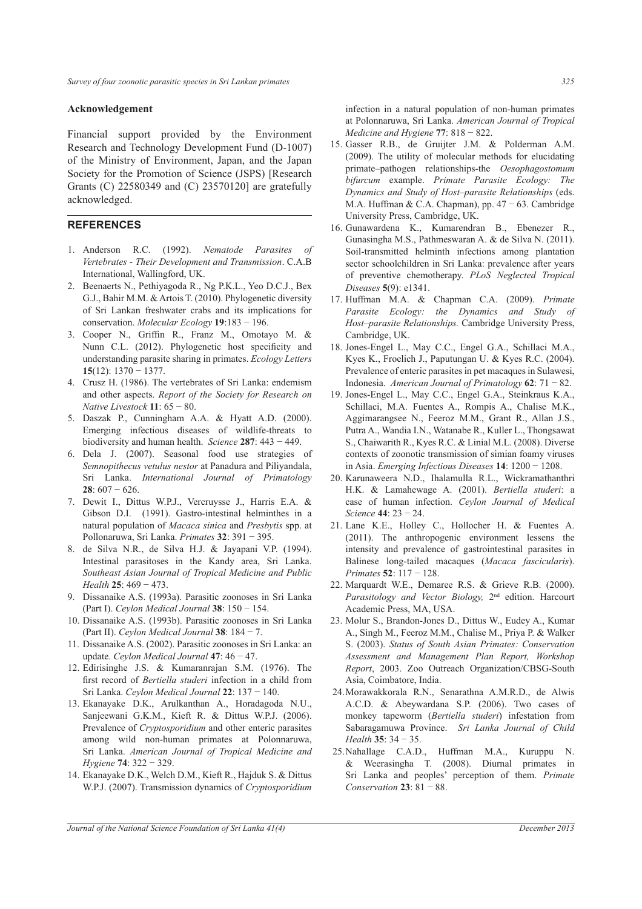#### **Acknowledgement**

Financial support provided by the Environment Research and Technology Development Fund (D-1007) of the Ministry of Environment, Japan, and the Japan Society for the Promotion of Science (JSPS) [Research Grants (C) 22580349 and (C) 23570120] are gratefully acknowledged.

### **REFERENCES**

- 1. Anderson R.C. (1992). *Nematode Parasites of Vertebrates - Their Development and Transmission*. C.A.B International, Wallingford, UK.
- 2. Beenaerts N., Pethiyagoda R., Ng P.K.L., Yeo D.C.J., Bex G.J., Bahir M.M. & Artois T. (2010). Phylogenetic diversity of Sri Lankan freshwater crabs and its implications for conservation. *Molecular Ecology* **19**:183 − 196.
- 3. Cooper N., Griffin R., Franz M., Omotayo M. & Nunn C.L. (2012). Phylogenetic host specificity and understanding parasite sharing in primates. *Ecology Letters* **15**(12): 1370 − 1377.
- 4. Crusz H. (1986). The vertebrates of Sri Lanka: endemism and other aspects. *Report of the Society for Research on Native Livestock* **11**: 65 − 80.
- 5. Daszak P., Cunningham A.A. & Hyatt A.D. (2000). Emerging infectious diseases of wildlife-threats to biodiversity and human health. *Science* **287**: 443 − 449.
- 6. Dela J. (2007). Seasonal food use strategies of *Semnopithecus vetulus nestor* at Panadura and Piliyandala, Sri Lanka. *International Journal of Primatology* **28**: 607 − 626.
- 7. Dewit I., Dittus W.P.J., Vercruysse J., Harris E.A. & Gibson D.I. (1991). Gastro-intestinal helminthes in a natural population of *Macaca sinica* and *Presbytis* spp. at Pollonaruwa, Sri Lanka. *Primates* **32**: 391 − 395.
- 8. de Silva N.R., de Silva H.J. & Jayapani V.P. (1994). Intestinal parasitoses in the Kandy area, Sri Lanka. *Southeast Asian Journal of Tropical Medicine and Public Health* **25**: 469 − 473.
- 9. Dissanaike A.S. (1993a). Parasitic zoonoses in Sri Lanka (Part I). *Ceylon Medical Journal* **38**: 150 − 154.
- 10. Dissanaike A.S. (1993b). Parasitic zoonoses in Sri Lanka (Part II). *Ceylon Medical Journal* **38**: 184 − 7.
- 11. Dissanaike A.S. (2002). Parasitic zoonoses in Sri Lanka: an update. *Ceylon Medical Journal* **47**: 46 − 47.
- 12. Edirisinghe J.S. & Kumaranrajan S.M. (1976). The first record of *Bertiella studeri* infection in a child from Sri Lanka. *Ceylon Medical Journal* **22**: 137 − 140.
- 13. Ekanayake D.K., Arulkanthan A., Horadagoda N.U., Sanjeewani G.K.M., Kieft R. & Dittus W.P.J. (2006). Prevalence of *Cryptosporidium* and other enteric parasites among wild non-human primates at Polonnaruwa, Sri Lanka. *American Journal of Tropical Medicine and Hygiene* **74**: 322 − 329.
- 14. Ekanayake D.K., Welch D.M., Kieft R., Hajduk S. & Dittus W.P.J. (2007). Transmission dynamics of *Cryptosporidium*

infection in a natural population of non-human primates at Polonnaruwa, Sri Lanka. *American Journal of Tropical Medicine and Hygiene* **77**: 818 − 822.

- 15. Gasser R.B., de Gruijter J.M. & Polderman A.M. (2009). The utility of molecular methods for elucidating primate–pathogen relationships-the *Oesophagostomum bifurcum* example. *Primate Parasite Ecology: The Dynamics and Study of Host–parasite Relationships* (eds. M.A. Huffman & C.A. Chapman), pp. 47 − 63. Cambridge University Press, Cambridge, UK.
- 16. Gunawardena K., Kumarendran B., Ebenezer R., Gunasingha M.S., Pathmeswaran A. & de Silva N. (2011). Soil-transmitted helminth infections among plantation sector schoolchildren in Sri Lanka: prevalence after years of preventive chemotherapy. *PLoS Neglected Tropical Diseases* **5**(9): e1341.
- 17. Huffman M.A. & Chapman C.A. (2009). *Primate Parasite Ecology: the Dynamics and Study of Host–parasite Relationships.* Cambridge University Press, Cambridge, UK.
- 18. Jones-Engel L., May C.C., Engel G.A., Schillaci M.A., Kyes K., Froelich J., Paputungan U. & Kyes R.C. (2004). Prevalence of enteric parasites in pet macaques in Sulawesi, Indonesia. *American Journal of Primatology* **62**: 71 − 82.
- 19. Jones-Engel L., May C.C., Engel G.A., Steinkraus K.A., Schillaci, M.A. Fuentes A., Rompis A., Chalise M.K., Aggimarangsee N., Feeroz M.M., Grant R., Allan J.S., Putra A., Wandia I.N., Watanabe R., Kuller L., Thongsawat S., Chaiwarith R., Kyes R.C. & Linial M.L. (2008). Diverse contexts of zoonotic transmission of simian foamy viruses in Asia. *Emerging Infectious Diseases* **14**: 1200 − 1208.
- 20. Karunaweera N.D., Ihalamulla R.L., Wickramathanthri H.K. & Lamahewage A. (2001). *Bertiella studeri*: a case of human infection. *Ceylon Journal of Medical Science* **44**: 23 − 24.
- 21. Lane K.E., Holley C., Hollocher H. & Fuentes A. (2011). The anthropogenic environment lessens the intensity and prevalence of gastrointestinal parasites in Balinese long-tailed macaques (*Macaca fascicularis*). *Primates* **52**: 117 − 128.
- 22. Marquardt W.E., Demaree R.S. & Grieve R.B. (2000). *Parasitology and Vector Biology,* 2nd edition. Harcourt Academic Press, MA, USA.
- 23. Molur S., Brandon-Jones D., Dittus W., Eudey A., Kumar A., Singh M., Feeroz M.M., Chalise M., Priya P. & Walker S. (2003). *Status of South Asian Primates: Conservation Assessment and Management Plan Report, Workshop Report*, 2003. Zoo Outreach Organization/CBSG-South Asia, Coimbatore, India.
- 24. Morawakkorala R.N., Senarathna A.M.R.D., de Alwis A.C.D. & Abeywardana S.P. (2006). Two cases of monkey tapeworm (*Bertiella studeri*) infestation from Sabaragamuwa Province. *Sri Lanka Journal of Child Health* **35**: 34 − 35.
- 25. Nahallage C.A.D., Huffman M.A., Kuruppu N. & Weerasingha T. (2008). Diurnal primates in Sri Lanka and peoples' perception of them. *Primate Conservation* **23**: 81 − 88.

*Journal of the National Science Foundation of Sri Lanka 41(4) December 2013*